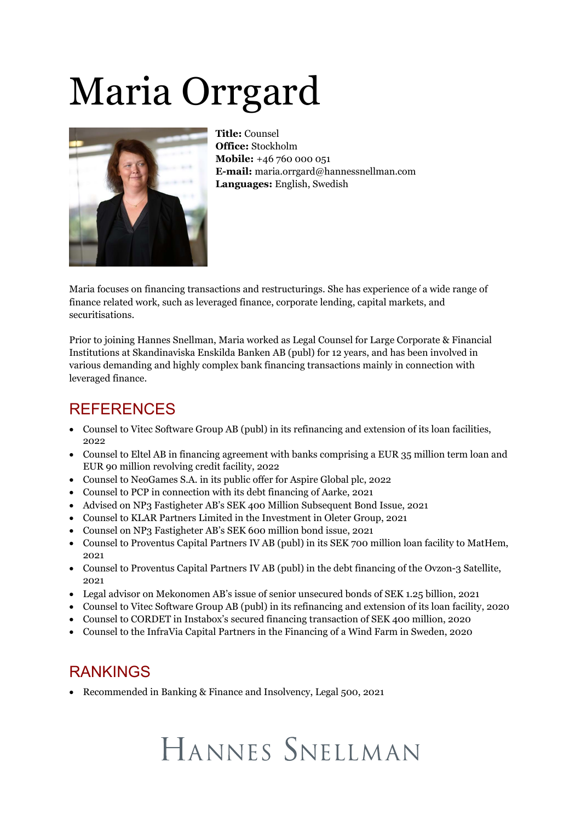# Maria Orrgard



**Title:** Counsel **Office:** Stockholm **Mobile:** +46 760 000 051 **E-mail:** maria.orrgard@hannessnellman.com **Languages:** English, Swedish

Maria focuses on financing transactions and restructurings. She has experience of a wide range of finance related work, such as leveraged finance, corporate lending, capital markets, and securitisations.

Prior to joining Hannes Snellman, Maria worked as Legal Counsel for Large Corporate & Financial Institutions at Skandinaviska Enskilda Banken AB (publ) for 12 years, and has been involved in various demanding and highly complex bank financing transactions mainly in connection with leveraged finance.

#### REFERENCES

- · Counsel to Vitec Software Group AB (publ) in its refinancing and extension of its loan facilities, 2022
- · Counsel to Eltel AB in financing agreement with banks comprising a EUR 35 million term loan and EUR 90 million revolving credit facility, 2022
- · Counsel to NeoGames S.A. in its public offer for Aspire Global plc, 2022
- · Counsel to PCP in connection with its debt financing of Aarke, 2021
- · Advised on NP3 Fastigheter AB's SEK 400 Million Subsequent Bond Issue, 2021
- · Counsel to KLAR Partners Limited in the Investment in Oleter Group, 2021
- · Counsel on NP3 Fastigheter AB's SEK 600 million bond issue, 2021
- · Counsel to Proventus Capital Partners IV AB (publ) in its SEK 700 million loan facility to MatHem, 2021
- · Counsel to Proventus Capital Partners IV AB (publ) in the debt financing of the Ovzon-3 Satellite, 2021
- · Legal advisor on Mekonomen AB's issue of senior unsecured bonds of SEK 1.25 billion, 2021
- · Counsel to Vitec Software Group AB (publ) in its refinancing and extension of its loan facility, 2020
- · Counsel to CORDET in Instabox's secured financing transaction of SEK 400 million, 2020
- · Counsel to the InfraVia Capital Partners in the Financing of a Wind Farm in Sweden, 2020

### RANKINGS

• Recommended in Banking & Finance and Insolvency, Legal 500, 2021

## HANNES SNELLMAN